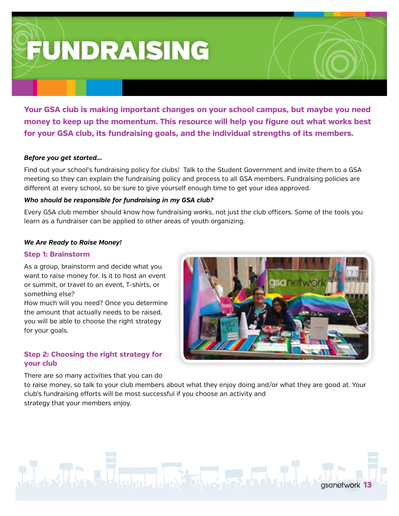**FUNDRAISING** 

Your GSA club is making important changes on your school campus, but maybe you need money to keep up the momentum. This resource will help you figure out what works best for your GSA club, its fundraising goals, and the individual strengths of its members.

# Before you get started...

Find out your school's fundraising policy for clubs! Talk to the Student Government and invite them to a GSA meeting so they can explain the fundraising policy and process to all GSA members. Fundraising policies are different at every school, so be sure to give yourself enough time to get your idea approved.

# Who should be responsible for fundraising in my GSA club?

Every GSA club member should know how fundraising works, not just the club officers. Some of the tools you learn as a fundraiser can be applied to other areas of youth organizing.

# **We Are Ready to Raise Money!**

### **Step 1: Brainstorm**

As a group, brainstorm and decide what you want to raise money for. Is it to host an event or summit, or travel to an event, T-shirts, or something else?

How much will you need? Once you determine the amount that actually needs to be raised, you will be able to choose the right strategy for your goals.

# Step 2: Choosing the right strategy for vour club

There are so many activities that you can do



to raise money, so talk to your club members about what they enjoy doing and/or what they are good at. Your club's fundraising efforts will be most successful if you choose an activity and strategy that your members enjoy.

#